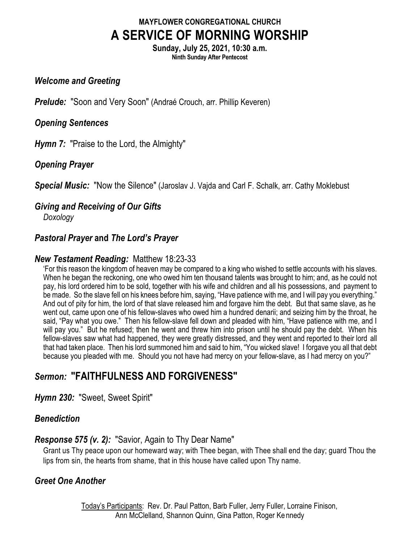# **MAYFLOWER CONGREGATIONAL CHURCH A SERVICE OF MORNING WORSHIP**

**Sunday, July 25, 2021, 10:30 a.m. Ninth Sunday After Pentecost**

#### *Welcome and Greeting*

*Prelude:* "Soon and Very Soon" (Andraé Crouch, arr. Phillip Keveren)

#### *Opening Sentences*

*Hymn 7:* "Praise to the Lord, the Almighty"

## *Opening Prayer*

*Special Music:* "Now the Silence" (Jaroslav J. Vajda and Carl F. Schalk, arr. Cathy Moklebust

#### *Giving and Receiving of Our Gifts*

*Doxology*

## *Pastoral Prayer* **and** *The Lord's Prayer*

#### *New Testament Reading:* Matthew 18:23-33

'For this reason the kingdom of heaven may be compared to a king who wished to settle accounts with his slaves. When he began the reckoning, one who owed him ten thousand talents was brought to him; and, as he could not pay, his lord ordered him to be sold, together with his wife and children and all his possessions, and payment to be made. So the slave fell on his knees before him, saying, "Have patience with me, and I will pay you everything." And out of pity for him, the lord of that slave released him and forgave him the debt. But that same slave, as he went out, came upon one of his fellow-slaves who owed him a hundred denarii; and seizing him by the throat, he said, "Pay what you owe." Then his fellow-slave fell down and pleaded with him, "Have patience with me, and I will pay you." But he refused; then he went and threw him into prison until he should pay the debt. When his fellow-slaves saw what had happened, they were greatly distressed, and they went and reported to their lord all that had taken place. Then his lord summoned him and said to him, "You wicked slave! I forgave you all that debt because you pleaded with me. Should you not have had mercy on your fellow-slave, as I had mercy on you?"

# *Sermon:* **"FAITHFULNESS AND FORGIVENESS"**

*Hymn 230:* "Sweet, Sweet Spirit"

## *Benediction*

#### *Response 575 (v. 2):* "Savior, Again to Thy Dear Name"

Grant us Thy peace upon our homeward way; with Thee began, with Thee shall end the day; guard Thou the lips from sin, the hearts from shame, that in this house have called upon Thy name.

## *Greet One Another*

Today's Participants: Rev. Dr. Paul Patton, Barb Fuller, Jerry Fuller, Lorraine Finison, Ann McClelland, Shannon Quinn, Gina Patton, Roger Ke nnedy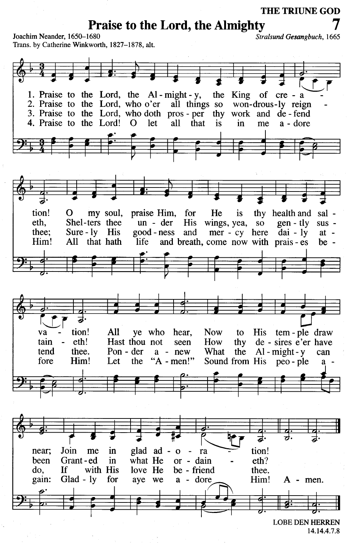**THE TRIUNE GOD** 

Stralsund Gesangbuch, 1665

sal -

 $sus -$ 

 $at -$ 

be -

can

a



**LOBE DEN HERREN** 14.14.4.7.8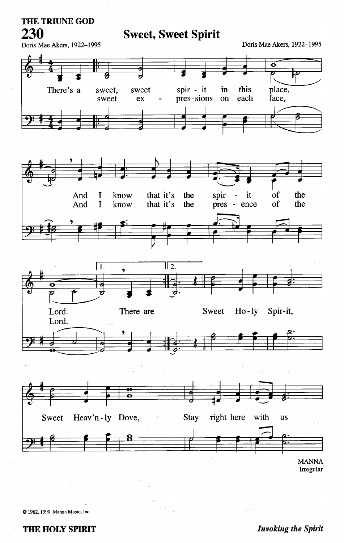#### THE TRIUNE GOD 230

**Sweet, Sweet Spirit** 

Doris Mae Akers, 1922-1995



© 1962, 1990, Manna Music, Inc.

#### **THE HOLY SPIRIT**

#### **Invoking the Spirit**